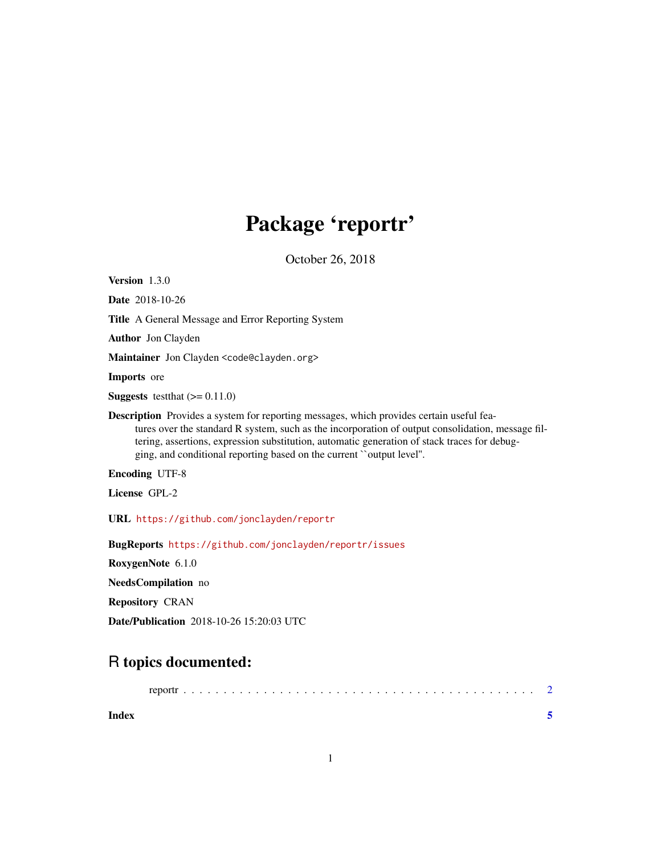## Package 'reportr'

October 26, 2018

<span id="page-0-0"></span>Version 1.3.0

Date 2018-10-26

Title A General Message and Error Reporting System

Author Jon Clayden

Maintainer Jon Clayden <code@clayden.org>

Imports ore

**Suggests** testthat  $(>= 0.11.0)$ 

Description Provides a system for reporting messages, which provides certain useful features over the standard R system, such as the incorporation of output consolidation, message filtering, assertions, expression substitution, automatic generation of stack traces for debugging, and conditional reporting based on the current ``output level''.

Encoding UTF-8

License GPL-2

URL <https://github.com/jonclayden/reportr>

BugReports <https://github.com/jonclayden/reportr/issues>

RoxygenNote 6.1.0

NeedsCompilation no

Repository CRAN

Date/Publication 2018-10-26 15:20:03 UTC

### R topics documented:

| reportr |  |  |
|---------|--|--|
|---------|--|--|

**Index** [5](#page-4-0). The second state of the second state of the second state of the second state of the second state of the second state of the second state of the second state of the second state of the second state of the second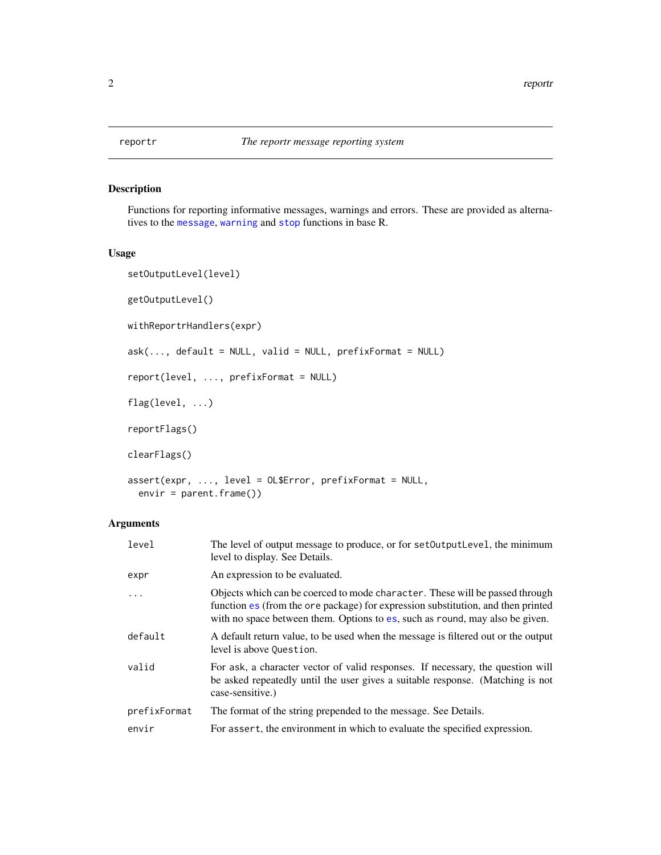#### Description

Functions for reporting informative messages, warnings and errors. These are provided as alternatives to the [message](#page-0-0), [warning](#page-0-0) and [stop](#page-0-0) functions in base R.

#### Usage

```
setOutputLevel(level)
getOutputLevel()
withReportrHandlers(expr)
ask(..., default = NULL, valid = NULL, prefixFormat = NULL)report(level, ..., prefixFormat = NULL)
flag(level, ...)
reportFlags()
clearFlags()
assert(expr, ..., level = OL$Error, prefixFormat = NULL,
 envir = parent.frame())
```
#### Arguments

| level        | The level of output message to produce, or for set Output Level, the minimum<br>level to display. See Details.                                                                                                                                   |
|--------------|--------------------------------------------------------------------------------------------------------------------------------------------------------------------------------------------------------------------------------------------------|
| expr         | An expression to be evaluated.                                                                                                                                                                                                                   |
| $\cdots$     | Objects which can be coerced to mode character. These will be passed through<br>function es (from the ore package) for expression substitution, and then printed<br>with no space between them. Options to es, such as round, may also be given. |
| default      | A default return value, to be used when the message is filtered out or the output<br>level is above Question.                                                                                                                                    |
| valid        | For ask, a character vector of valid responses. If necessary, the question will<br>be asked repeatedly until the user gives a suitable response. (Matching is not<br>case-sensitive.)                                                            |
| prefixFormat | The format of the string prepended to the message. See Details.                                                                                                                                                                                  |
| envir        | For assert, the environment in which to evaluate the specified expression.                                                                                                                                                                       |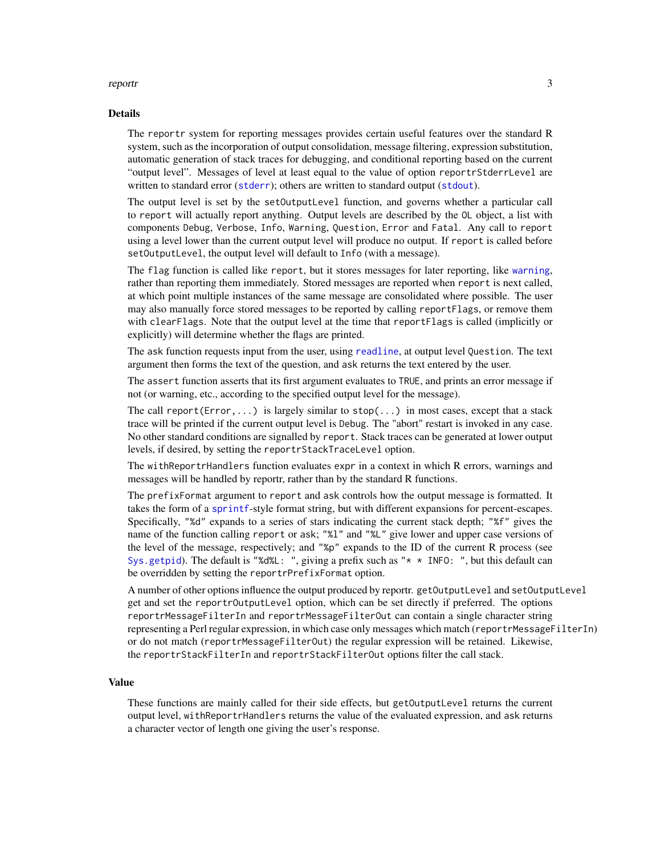#### <span id="page-2-0"></span>reportr<sub>23</sub>

#### Details

The reportr system for reporting messages provides certain useful features over the standard R system, such as the incorporation of output consolidation, message filtering, expression substitution, automatic generation of stack traces for debugging, and conditional reporting based on the current "output level". Messages of level at least equal to the value of option reportrStderrLevel are written to standard error ([stderr](#page-0-0)); others are written to standard output ([stdout](#page-0-0)).

The output level is set by the setOutputLevel function, and governs whether a particular call to report will actually report anything. Output levels are described by the OL object, a list with components Debug, Verbose, Info, Warning, Question, Error and Fatal. Any call to report using a level lower than the current output level will produce no output. If report is called before setOutputLevel, the output level will default to Info (with a message).

The flag function is called like report, but it stores messages for later reporting, like [warning](#page-0-0), rather than reporting them immediately. Stored messages are reported when report is next called, at which point multiple instances of the same message are consolidated where possible. The user may also manually force stored messages to be reported by calling reportFlags, or remove them with clearFlags. Note that the output level at the time that reportFlags is called (implicitly or explicitly) will determine whether the flags are printed.

The ask function requests input from the user, using [readline](#page-0-0), at output level Question. The text argument then forms the text of the question, and ask returns the text entered by the user.

The assert function asserts that its first argument evaluates to TRUE, and prints an error message if not (or warning, etc., according to the specified output level for the message).

The call report( $Error, \ldots$ ) is largely similar to  $stop(\ldots)$  in most cases, except that a stack trace will be printed if the current output level is Debug. The "abort" restart is invoked in any case. No other standard conditions are signalled by report. Stack traces can be generated at lower output levels, if desired, by setting the reportrStackTraceLevel option.

The withReportrHandlers function evaluates expr in a context in which R errors, warnings and messages will be handled by reportr, rather than by the standard R functions.

The prefixFormat argument to report and ask controls how the output message is formatted. It takes the form of a [sprintf](#page-0-0)-style format string, but with different expansions for percent-escapes. Specifically, "%d" expands to a series of stars indicating the current stack depth; "%f" gives the name of the function calling report or ask; "%l" and "%L" give lower and upper case versions of the level of the message, respectively; and "%p" expands to the ID of the current R process (see [Sys.getpid](#page-0-0)). The default is "%d%L: ", giving a prefix such as " $*$  \* INFO: ", but this default can be overridden by setting the reportrPrefixFormat option.

A number of other options influence the output produced by reportr. getOutputLevel and setOutputLevel get and set the reportrOutputLevel option, which can be set directly if preferred. The options reportrMessageFilterIn and reportrMessageFilterOut can contain a single character string representing a Perl regular expression, in which case only messages which match (reportrMessageFilterIn) or do not match (reportrMessageFilterOut) the regular expression will be retained. Likewise, the reportrStackFilterIn and reportrStackFilterOut options filter the call stack.

#### Value

These functions are mainly called for their side effects, but getOutputLevel returns the current output level, withReportrHandlers returns the value of the evaluated expression, and ask returns a character vector of length one giving the user's response.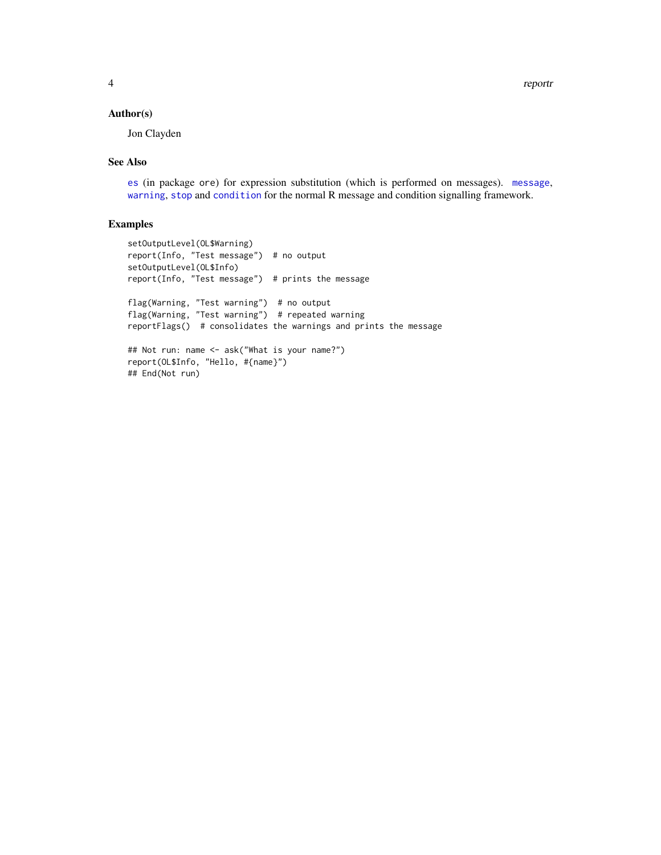#### <span id="page-3-0"></span>Author(s)

Jon Clayden

#### See Also

[es](#page-0-0) (in package ore) for expression substitution (which is performed on messages). [message](#page-0-0), [warning](#page-0-0), [stop](#page-0-0) and [condition](#page-0-0) for the normal R message and condition signalling framework.

#### Examples

```
setOutputLevel(OL$Warning)
report(Info, "Test message") # no output
setOutputLevel(OL$Info)
report(Info, "Test message") # prints the message
flag(Warning, "Test warning") # no output
flag(Warning, "Test warning") # repeated warning
reportFlags() # consolidates the warnings and prints the message
## Not run: name <- ask("What is your name?")
report(OL$Info, "Hello, #{name}")
## End(Not run)
```